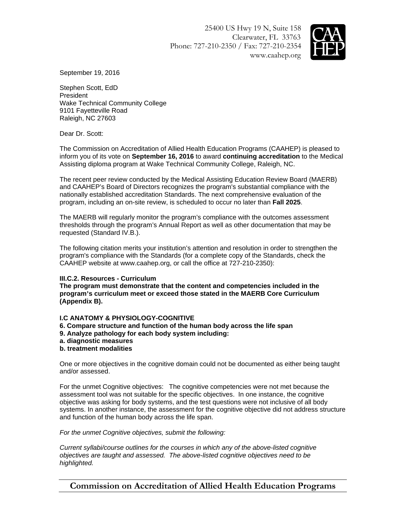25400 US Hwy 19 N, Suite 158 Clearwater, FL 33763 Phone: 727-210-2350 / Fax: 727-210-2354 www.caahep.org



September 19, 2016

Stephen Scott, EdD President Wake Technical Community College 9101 Fayetteville Road Raleigh, NC 27603

Dear Dr. Scott:

The Commission on Accreditation of Allied Health Education Programs (CAAHEP) is pleased to inform you of its vote on **September 16, 2016** to award **continuing accreditation** to the Medical Assisting diploma program at Wake Technical Community College, Raleigh, NC.

The recent peer review conducted by the Medical Assisting Education Review Board (MAERB) and CAAHEP's Board of Directors recognizes the program's substantial compliance with the nationally established accreditation Standards. The next comprehensive evaluation of the program, including an on-site review, is scheduled to occur no later than **Fall 2025**.

The MAERB will regularly monitor the program's compliance with the outcomes assessment thresholds through the program's Annual Report as well as other documentation that may be requested (Standard IV.B.).

The following citation merits your institution's attention and resolution in order to strengthen the program's compliance with the Standards (for a complete copy of the Standards, check the CAAHEP website at www.caahep.org, or call the office at 727-210-2350):

## **III.C.2. Resources - Curriculum**

**The program must demonstrate that the content and competencies included in the program's curriculum meet or exceed those stated in the MAERB Core Curriculum (Appendix B).**

## **I.C ANATOMY & PHYSIOLOGY-COGNITIVE**

- **6. Compare structure and function of the human body across the life span**
- **9. Analyze pathology for each body system including:**
- **a. diagnostic measures**
- **b. treatment modalities**

One or more objectives in the cognitive domain could not be documented as either being taught and/or assessed.

For the unmet Cognitive objectives: The cognitive competencies were not met because the assessment tool was not suitable for the specific objectives. In one instance, the cognitive objective was asking for body systems, and the test questions were not inclusive of all body systems. In another instance, the assessment for the cognitive objective did not address structure and function of the human body across the life span.

*For the unmet Cognitive objectives, submit the following:* 

*Current syllabi/course outlines for the courses in which any of the above-listed cognitive objectives are taught and assessed. The above-listed cognitive objectives need to be highlighted.* 

**Commission on Accreditation of Allied Health Education Programs**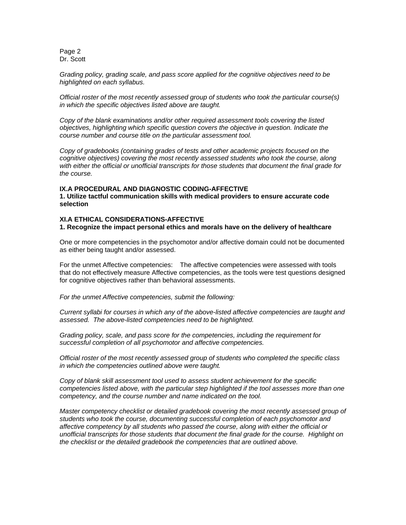Page 2 Dr. Scott

*Grading policy, grading scale, and pass score applied for the cognitive objectives need to be highlighted on each syllabus.* 

*Official roster of the most recently assessed group of students who took the particular course(s) in which the specific objectives listed above are taught.* 

*Copy of the blank examinations and/or other required assessment tools covering the listed objectives, highlighting which specific question covers the objective in question. Indicate the course number and course title on the particular assessment tool.* 

*Copy of gradebooks (containing grades of tests and other academic projects focused on the cognitive objectives) covering the most recently assessed students who took the course, along with either the official or unofficial transcripts for those students that document the final grade for the course.*

## **IX.A PROCEDURAL AND DIAGNOSTIC CODING-AFFECTIVE**

**1. Utilize tactful communication skills with medical providers to ensure accurate code selection** 

## **XI.A ETHICAL CONSIDERATIONS-AFFECTIVE**

**1. Recognize the impact personal ethics and morals have on the delivery of healthcare**

One or more competencies in the psychomotor and/or affective domain could not be documented as either being taught and/or assessed.

For the unmet Affective competencies: The affective competencies were assessed with tools that do not effectively measure Affective competencies, as the tools were test questions designed for cognitive objectives rather than behavioral assessments.

*For the unmet Affective competencies, submit the following:* 

*Current syllabi for courses in which any of the above-listed affective competencies are taught and assessed. The above-listed competencies need to be highlighted.* 

*Grading policy, scale, and pass score for the competencies, including the requirement for successful completion of all psychomotor and affective competencies.* 

*Official roster of the most recently assessed group of students who completed the specific class in which the competencies outlined above were taught.* 

*Copy of blank skill assessment tool used to assess student achievement for the specific competencies listed above, with the particular step highlighted if the tool assesses more than one competency, and the course number and name indicated on the tool.* 

*Master competency checklist or detailed gradebook covering the most recently assessed group of students who took the course, documenting successful completion of each psychomotor and affective competency by all students who passed the course, along with either the official or unofficial transcripts for those students that document the final grade for the course. Highlight on the checklist or the detailed gradebook the competencies that are outlined above.*